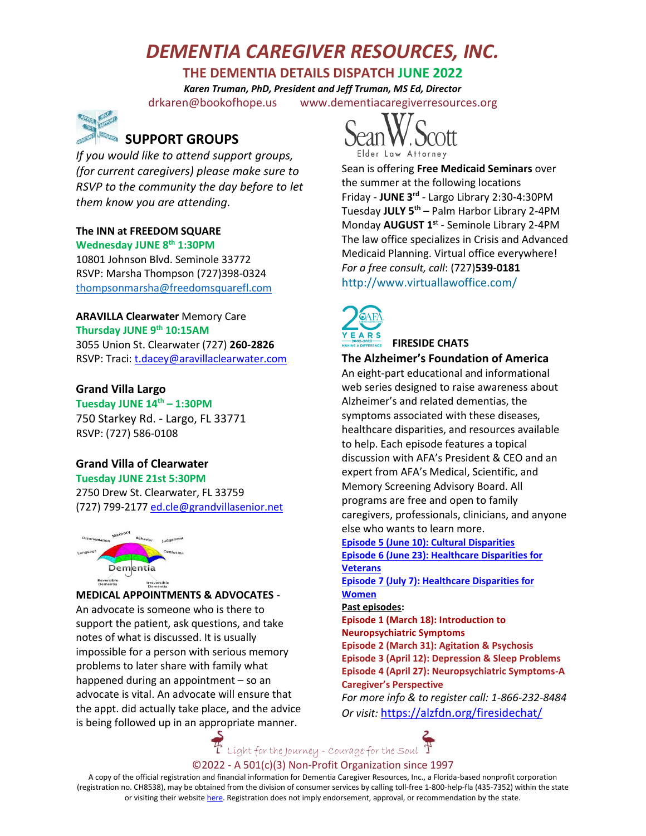# *DEMENTIA CAREGIVER RESOURCES, INC.*

# **THE DEMENTIA DETAILS DISPATCH JUNE 2022**

*Karen Truman, PhD, President and Jeff Truman, MS Ed, Director* [drkaren@bookofhope.us](mailto:drkaren@bookofhope.us) [www.dementiacaregiverresources.org](http://www.dementiacaregiverresources.org/)



*If you would like to attend support groups, (for current caregivers) please make sure to RSVP to the community the day before to let them know you are attending.*

# **The INN at FREEDOM SQUARE**

**Wednesday JUNE 8th 1:30PM**

10801 Johnson Blvd. Seminole 33772 RSVP: Marsha Thompson (727)398-0324 [thompsonmarsha@freedomsquarefl.com](mailto:thompsonmarsha@freedomsquarefl.com)

**ARAVILLA Clearwater** Memory Care **Thursday JUNE 9th 10:15AM**  3055 Union St. Clearwater (727) **260-2826** RSVP: Traci[: t.dacey@aravillaclearwater.com](mailto:t.dacey@aravillaclearwater.com)

#### **Grand Villa Largo**

**Tuesday JUNE 14th – 1:30PM** 750 Starkey Rd. - Largo, FL 33771 RSVP: (727) 586-0108

## **Grand Villa of Clearwater**

**Tuesday JUNE 21st 5:30PM**  2750 Drew St. Clearwater, FL 33759 (727) 799-2177 [ed.cle@grandvillasenior.net](mailto:ed.cle@grandvillasenior.net)



#### **MEDICAL APPOINTMENTS & ADVOCATES** -

An advocate is someone who is there to support the patient, ask questions, and take notes of what is discussed. It is usually impossible for a person with serious memory problems to later share with family what happened during an appointment – so an advocate is vital. An advocate will ensure that the appt. did actually take place, and the advice is being followed up in an appropriate manner.



Sean is offering **Free Medicaid Seminars** over the summer at the following locations Friday - **JUNE 3rd** - Largo Library 2:30-4:30PM Tuesday **JULY 5th** – Palm Harbor Library 2-4PM Monday **AUGUST 1<sup>s</sup>**<sup>t</sup> - Seminole Library 2-4PM The law office specializes in Crisis and Advanced Medicaid Planning. Virtual office everywhere! *For a free consult, call*: (727)**539-0181** <http://www.virtuallawoffice.com/>



## **FIRESIDE CHATS**

**The Alzheimer's Foundation of America**

An eight-part educational and informational web series designed to raise awareness about Alzheimer's and related dementias, the symptoms associated with these diseases, healthcare disparities, and resources available to help. Each episode features a topical discussion with AFA's President & CEO and an expert from AFA's Medical, Scientific, and Memory Screening Advisory Board. All programs are free and open to family caregivers, professionals, clinicians, and anyone else who wants to learn more.

**[Episode 5 \(June 10\): Cultural Disparities](https://alzfdn.org/event/afa-fireside-chat-cultural-disparities/) [Episode 6 \(June 23\): Healthcare Disparities for](https://alzfdn.org/event/afa-fireside-chat-veterans/)** 

#### **[Veterans](https://alzfdn.org/event/afa-fireside-chat-veterans/)**

**[Episode 7 \(July 7\): Healthcare Disparities for](https://alzfdn.org/event/afa-fireside-chat-healthcare-for-women/)  [Women](https://alzfdn.org/event/afa-fireside-chat-healthcare-for-women/)**

**Past episodes:**

**Episode 1 (March 18): Introduction to Neuropsychiatric Symptoms Episode 2 (March 31): Agitation & Psychosis Episode 3 (April 12): Depression & Sleep Problems Episode 4 (April 27): Neuropsychiatric Symptoms-A Caregiver's Perspective**

*For more info & to register call: 1-866-232-8484 Or visit:* <https://alzfdn.org/firesidechat/>

 $F$  Light for the Journey - Courage for the Soul  $T$ 

©2022 - A 501(c)(3) Non-Profit Organization since 1997

A copy of the official registration and financial information for Dementia Caregiver Resources, Inc., a Florida-based nonprofit corporation (registration no. CH8538), may be obtained from the division of consumer services by calling toll-free 1-800-help-fla (435-7352) within the state or visiting their websit[e here.](https://csapp.800helpfla.com/cspublicapp/giftgiversquery/giftgiversquery.aspx) Registration does not imply endorsement, approval, or recommendation by the state.